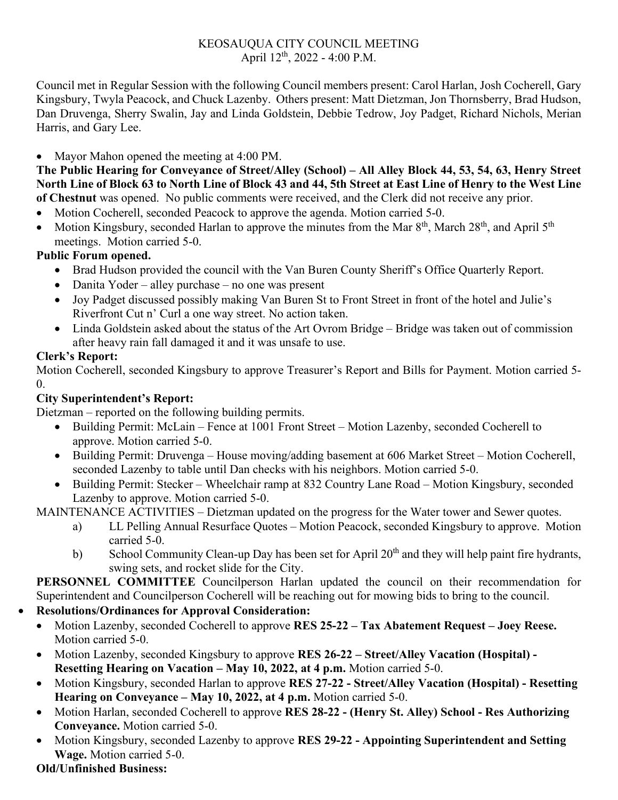#### KEOSAUQUA CITY COUNCIL MEETING April  $12^{th}$ , 2022 - 4:00 P.M.

Council met in Regular Session with the following Council members present: Carol Harlan, Josh Cocherell, Gary Kingsbury, Twyla Peacock, and Chuck Lazenby. Others present: Matt Dietzman, Jon Thornsberry, Brad Hudson, Dan Druvenga, Sherry Swalin, Jay and Linda Goldstein, Debbie Tedrow, Joy Padget, Richard Nichols, Merian Harris, and Gary Lee.

• Mayor Mahon opened the meeting at 4:00 PM.

**The Public Hearing for Conveyance of Street/Alley (School) – All Alley Block 44, 53, 54, 63, Henry Street North Line of Block 63 to North Line of Block 43 and 44, 5th Street at East Line of Henry to the West Line of Chestnut** was opened. No public comments were received, and the Clerk did not receive any prior.

- Motion Cocherell, seconded Peacock to approve the agenda. Motion carried 5-0.
- Motion Kingsbury, seconded Harlan to approve the minutes from the Mar  $8<sup>th</sup>$ , March 28<sup>th</sup>, and April 5<sup>th</sup> meetings. Motion carried 5-0.

## **Public Forum opened.**

- Brad Hudson provided the council with the Van Buren County Sheriff's Office Quarterly Report.
- Danita Yoder alley purchase no one was present
- Joy Padget discussed possibly making Van Buren St to Front Street in front of the hotel and Julie's Riverfront Cut n' Curl a one way street. No action taken.
- Linda Goldstein asked about the status of the Art Ovrom Bridge Bridge was taken out of commission after heavy rain fall damaged it and it was unsafe to use.

## **Clerk's Report:**

Motion Cocherell, seconded Kingsbury to approve Treasurer's Report and Bills for Payment. Motion carried 5- 0.

## **City Superintendent's Report:**

Dietzman – reported on the following building permits.

- Building Permit: McLain Fence at 1001 Front Street Motion Lazenby, seconded Cocherell to approve. Motion carried 5-0.
- Building Permit: Druvenga House moving/adding basement at 606 Market Street Motion Cocherell, seconded Lazenby to table until Dan checks with his neighbors. Motion carried 5-0.
- Building Permit: Stecker Wheelchair ramp at 832 Country Lane Road Motion Kingsbury, seconded Lazenby to approve. Motion carried 5-0.

MAINTENANCE ACTIVITIES – Dietzman updated on the progress for the Water tower and Sewer quotes.

- a) LL Pelling Annual Resurface Quotes Motion Peacock, seconded Kingsbury to approve. Motion carried 5-0.
- b) School Community Clean-up Day has been set for April 20<sup>th</sup> and they will help paint fire hydrants, swing sets, and rocket slide for the City.

**PERSONNEL COMMITTEE** Councilperson Harlan updated the council on their recommendation for Superintendent and Councilperson Cocherell will be reaching out for mowing bids to bring to the council.

- **Resolutions/Ordinances for Approval Consideration:** 
	- Motion Lazenby, seconded Cocherell to approve **RES 25-22 – Tax Abatement Request – Joey Reese.** Motion carried 5-0.
	- Motion Lazenby, seconded Kingsbury to approve **RES 26-22 – Street/Alley Vacation (Hospital) - Resetting Hearing on Vacation – May 10, 2022, at 4 p.m.** Motion carried 5-0.
	- Motion Kingsbury, seconded Harlan to approve **RES 27-22 - Street/Alley Vacation (Hospital) - Resetting Hearing on Conveyance – May 10, 2022, at 4 p.m.** Motion carried 5-0.
	- Motion Harlan, seconded Cocherell to approve **RES 28-22 - (Henry St. Alley) School - Res Authorizing Conveyance.** Motion carried 5-0.
	- Motion Kingsbury, seconded Lazenby to approve **RES 29-22 - Appointing Superintendent and Setting Wage.** Motion carried 5-0.

# **Old/Unfinished Business:**